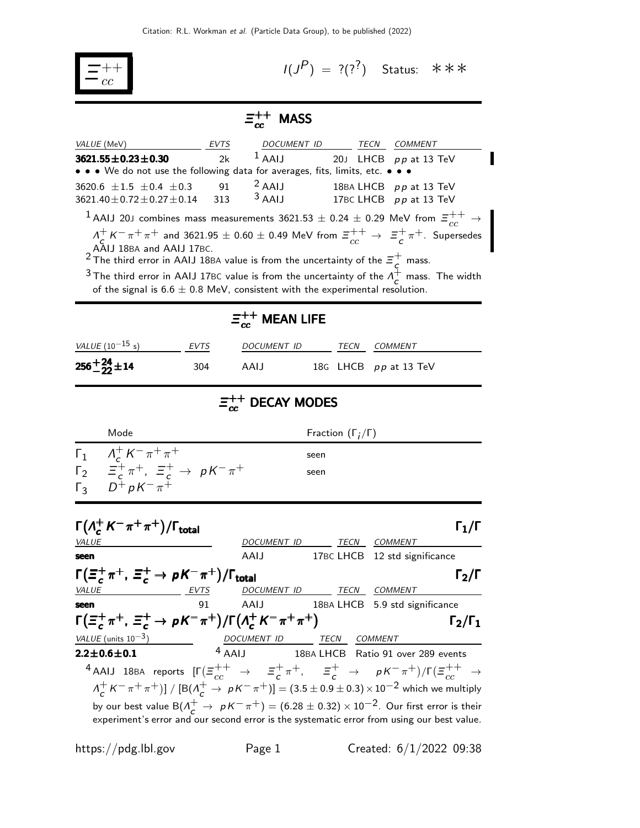

 $I(J^{P}) = ?(?^{?})$  Status: \*\*\*

## $\Xi_{cc}^{++}$  MASS

| <i>VALUE</i> (MeV)                                                                                                                                                                                                                                                                                                                                                                                                                                                                          | EVTS        |                          |                              |                     | DOCUMENT ID TECN COMMENT                                              |  |  |  |  |  |  |
|---------------------------------------------------------------------------------------------------------------------------------------------------------------------------------------------------------------------------------------------------------------------------------------------------------------------------------------------------------------------------------------------------------------------------------------------------------------------------------------------|-------------|--------------------------|------------------------------|---------------------|-----------------------------------------------------------------------|--|--|--|--|--|--|
| $3621.55 \pm 0.23 \pm 0.30$                                                                                                                                                                                                                                                                                                                                                                                                                                                                 | 2k          | $1$ AAIJ                 |                              |                     | 20J LHCB pp at 13 TeV                                                 |  |  |  |  |  |  |
| $\bullet\,\bullet\,\bullet\,$ We do not use the following data for averages, fits, limits, etc. $\bullet\,\bullet\,$                                                                                                                                                                                                                                                                                                                                                                        |             |                          |                              |                     |                                                                       |  |  |  |  |  |  |
| 3620.6 $\pm 1.5$ $\pm 0.4$ $\pm 0.3$<br>$3621.40 \pm 0.72 \pm 0.27 \pm 0.14$                                                                                                                                                                                                                                                                                                                                                                                                                | 91<br>313   | $2$ AAIJ<br>$3$ AAIJ     |                              |                     | 18BA LHCB pp at 13 TeV<br>17BC LHCB pp at 13 TeV                      |  |  |  |  |  |  |
|                                                                                                                                                                                                                                                                                                                                                                                                                                                                                             |             |                          |                              |                     |                                                                       |  |  |  |  |  |  |
| $^1$ AAIJ 20J combines mass measurements 3621.53 $\pm$ 0.24 $\pm$ 0.29 MeV from $\varXi_{cc}^{++}\to\blacksquare$<br>$A_C^+ K^- \pi^+ \pi^+$ and 3621.95 $\pm$ 0.60 $\pm$ 0.49 MeV from $\Xi_{cc}^{++} \to \Xi_{c}^{+} \pi^+$ . Supersedes<br>AAIJ 18BA and AAIJ 17BC.<br><sup>2</sup> The third error in AAIJ 18BA value is from the uncertainty of the $\equiv_c^+$ mass.<br><sup>3</sup> The third error in AAIJ 17BC value is from the uncertainty of the $\Lambda_c^+$ mass. The width |             |                          |                              |                     |                                                                       |  |  |  |  |  |  |
| of the signal is $6.6 \pm 0.8$ MeV, consistent with the experimental resolution.                                                                                                                                                                                                                                                                                                                                                                                                            |             |                          |                              |                     |                                                                       |  |  |  |  |  |  |
| $\Xi_{cc}^{++}$ MEAN LIFE                                                                                                                                                                                                                                                                                                                                                                                                                                                                   |             |                          |                              |                     |                                                                       |  |  |  |  |  |  |
| <u>VALUE</u> $(10^{-15} s)$                                                                                                                                                                                                                                                                                                                                                                                                                                                                 | EVTS        | DOCUMENT ID              |                              | TECN COMMENT        |                                                                       |  |  |  |  |  |  |
| $256 + \frac{24}{22} \pm 14$                                                                                                                                                                                                                                                                                                                                                                                                                                                                | 304         | AAIJ                     |                              |                     | 18G LHCB pp at 13 TeV                                                 |  |  |  |  |  |  |
| $\Xi_{cc}^{++}$ DECAY MODES                                                                                                                                                                                                                                                                                                                                                                                                                                                                 |             |                          |                              |                     |                                                                       |  |  |  |  |  |  |
| Mode                                                                                                                                                                                                                                                                                                                                                                                                                                                                                        |             |                          | Fraction $(\Gamma_i/\Gamma)$ |                     |                                                                       |  |  |  |  |  |  |
|                                                                                                                                                                                                                                                                                                                                                                                                                                                                                             |             |                          | seen                         |                     |                                                                       |  |  |  |  |  |  |
| $\Gamma_1$ $A_c^+ K^- \pi^+ \pi^+$<br>$\Gamma_2$ $\equiv_c^+ \pi^+, \equiv_c^+ \rightarrow pK^- \pi^+$<br>seen<br>$D^+$ pK $^ \pi^+$<br>$\Gamma_3$                                                                                                                                                                                                                                                                                                                                          |             |                          |                              |                     |                                                                       |  |  |  |  |  |  |
| $\Gamma(\Lambda_c^+ K^- \pi^+ \pi^+)/\Gamma_{\rm total}$                                                                                                                                                                                                                                                                                                                                                                                                                                    |             |                          |                              |                     | $\mathsf{\Gamma}_1/\mathsf{\Gamma}$                                   |  |  |  |  |  |  |
|                                                                                                                                                                                                                                                                                                                                                                                                                                                                                             |             | DOCUMENT_ID              |                              | <b>TECN COMMENT</b> |                                                                       |  |  |  |  |  |  |
|                                                                                                                                                                                                                                                                                                                                                                                                                                                                                             |             | AAIJ                     |                              |                     | 17BC LHCB 12 std significance                                         |  |  |  |  |  |  |
| $\Gamma(\Xi_c^+\pi^+, \Xi_c^+\to pK^-\pi^+)/\Gamma_{\rm total}$<br><i>VALUE</i>                                                                                                                                                                                                                                                                                                                                                                                                             | <u>EVTS</u> | DOCUMENT ID TECN COMMENT |                              |                     | $\Gamma_2/\Gamma$                                                     |  |  |  |  |  |  |
|                                                                                                                                                                                                                                                                                                                                                                                                                                                                                             | Q1          | AAIJ                     |                              |                     | 18BA LHCB 5.9 std significance                                        |  |  |  |  |  |  |
| $\Gamma(\Xi_c^+\pi^+, \Xi_c^+\to pK^-\pi^+)/\Gamma(\Lambda_c^+K^-\pi^+\pi^+)$<br>$\Gamma_2/\Gamma_1$                                                                                                                                                                                                                                                                                                                                                                                        |             |                          |                              |                     |                                                                       |  |  |  |  |  |  |
| $VALUE$ (units $10^{-3}$ )<br>$\overline{\phantom{a}}$                                                                                                                                                                                                                                                                                                                                                                                                                                      |             |                          |                              |                     |                                                                       |  |  |  |  |  |  |
| $2.2 \pm 0.6 \pm 0.1$                                                                                                                                                                                                                                                                                                                                                                                                                                                                       |             |                          |                              |                     | DOCUMENT ID TECN COMMENT<br>4 AAIJ 18BA LHCB Ratio 91 over 289 events |  |  |  |  |  |  |
| 4 AAIJ 18BA reports $[\Gamma(\Xi_{cc}^{++} \to \Xi_c^+\pi^+,\Xi_c^+ \to \rho K^-\pi^+)/\Gamma(\Xi_{cc}^{++} \to$                                                                                                                                                                                                                                                                                                                                                                            |             |                          |                              |                     |                                                                       |  |  |  |  |  |  |
| $A_C^+ K^- \pi^+ \pi^+]$ / $[ B(A_C^+ \to p K^- \pi^+ ) ] = (3.5 \pm 0.9 \pm 0.3) \times 10^{-2}$ which we multiply                                                                                                                                                                                                                                                                                                                                                                         |             |                          |                              |                     |                                                                       |  |  |  |  |  |  |
| by our best value $B(\Lambda_c^+ \to pK^-\pi^+) = (6.28 \pm 0.32) \times 10^{-2}$ . Our first error is their<br>experiment's error and our second error is the systematic error from using our best value.                                                                                                                                                                                                                                                                                  |             |                          |                              |                     |                                                                       |  |  |  |  |  |  |

https://pdg.lbl.gov Page 1 Created:  $6/1/2022$  09:38